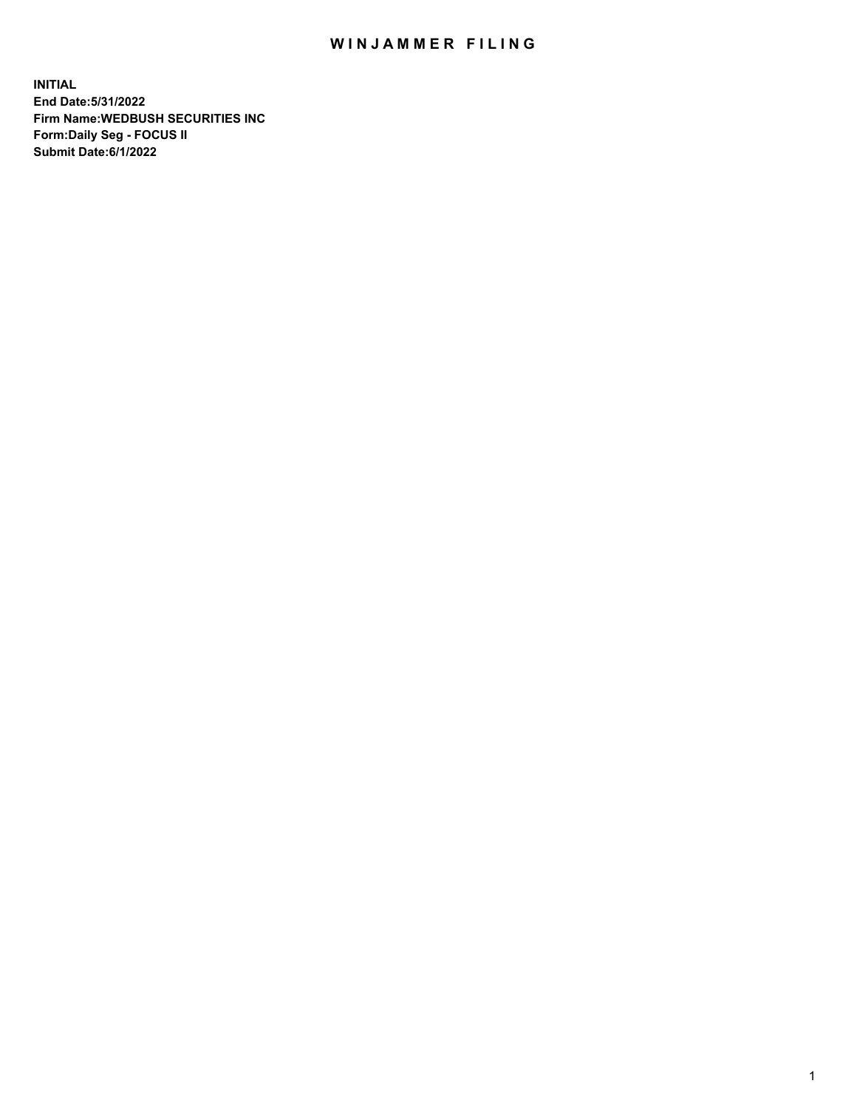## WIN JAMMER FILING

**INITIAL End Date:5/31/2022 Firm Name:WEDBUSH SECURITIES INC Form:Daily Seg - FOCUS II Submit Date:6/1/2022**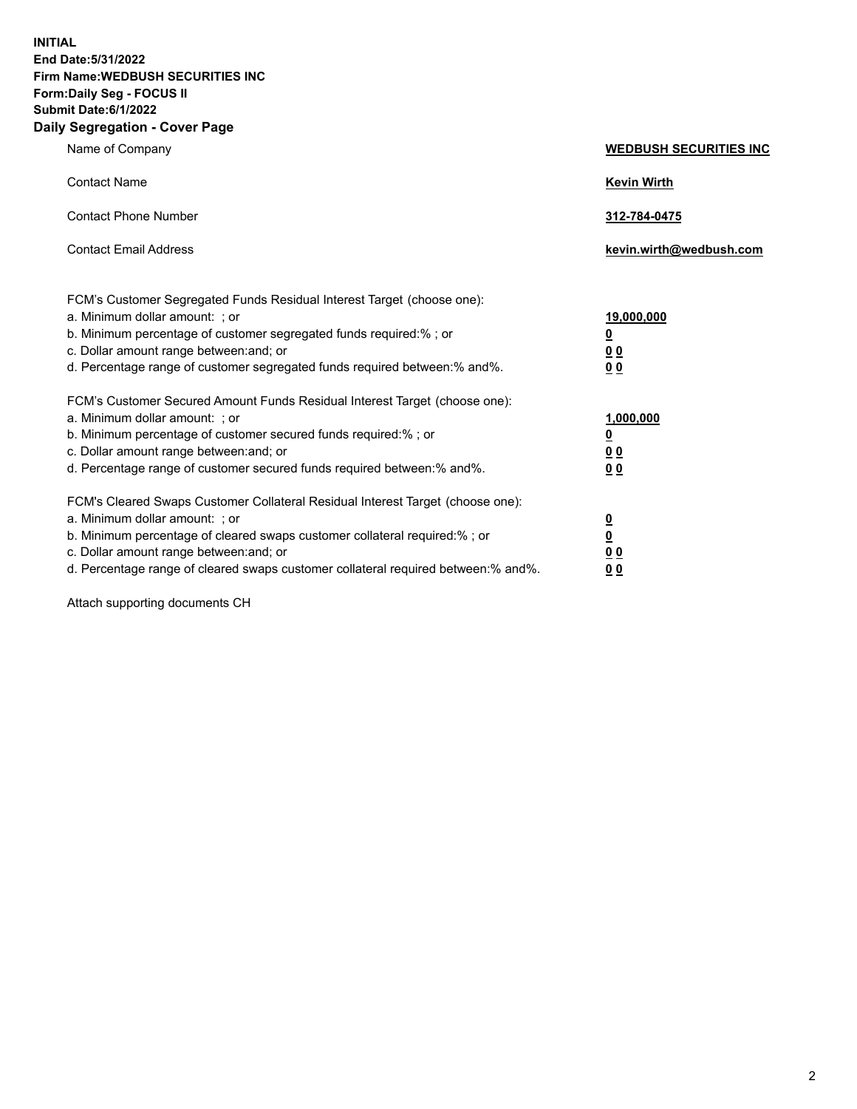**INITIAL End Date:5/31/2022 Firm Name:WEDBUSH SECURITIES INC Form:Daily Seg - FOCUS II Submit Date:6/1/2022 Daily Segregation - Cover Page**

| Name of Company                                                                                                                                                                                                                                                                                        | <b>WEDBUSH SECURITIES INC</b>                                            |
|--------------------------------------------------------------------------------------------------------------------------------------------------------------------------------------------------------------------------------------------------------------------------------------------------------|--------------------------------------------------------------------------|
| <b>Contact Name</b>                                                                                                                                                                                                                                                                                    | <b>Kevin Wirth</b>                                                       |
| <b>Contact Phone Number</b>                                                                                                                                                                                                                                                                            | 312-784-0475                                                             |
| <b>Contact Email Address</b>                                                                                                                                                                                                                                                                           | kevin.wirth@wedbush.com                                                  |
| FCM's Customer Segregated Funds Residual Interest Target (choose one):<br>a. Minimum dollar amount: ; or<br>b. Minimum percentage of customer segregated funds required:% ; or<br>c. Dollar amount range between: and; or<br>d. Percentage range of customer segregated funds required between:% and%. | 19,000,000<br><u>0</u><br>00<br>0 <sub>0</sub>                           |
| FCM's Customer Secured Amount Funds Residual Interest Target (choose one):<br>a. Minimum dollar amount: ; or<br>b. Minimum percentage of customer secured funds required:%; or<br>c. Dollar amount range between: and; or<br>d. Percentage range of customer secured funds required between: % and %.  | 1,000,000<br>$\overline{\mathbf{0}}$<br>0 <sub>0</sub><br>0 <sub>0</sub> |
| FCM's Cleared Swaps Customer Collateral Residual Interest Target (choose one):<br>a. Minimum dollar amount: ; or<br>b. Minimum percentage of cleared swaps customer collateral required:%; or<br>c. Dollar amount range between: and; or                                                               | $\frac{0}{0}$<br>0 <sub>0</sub>                                          |

d. Percentage range of cleared swaps customer collateral required between:% and%. **0 0**

Attach supporting documents CH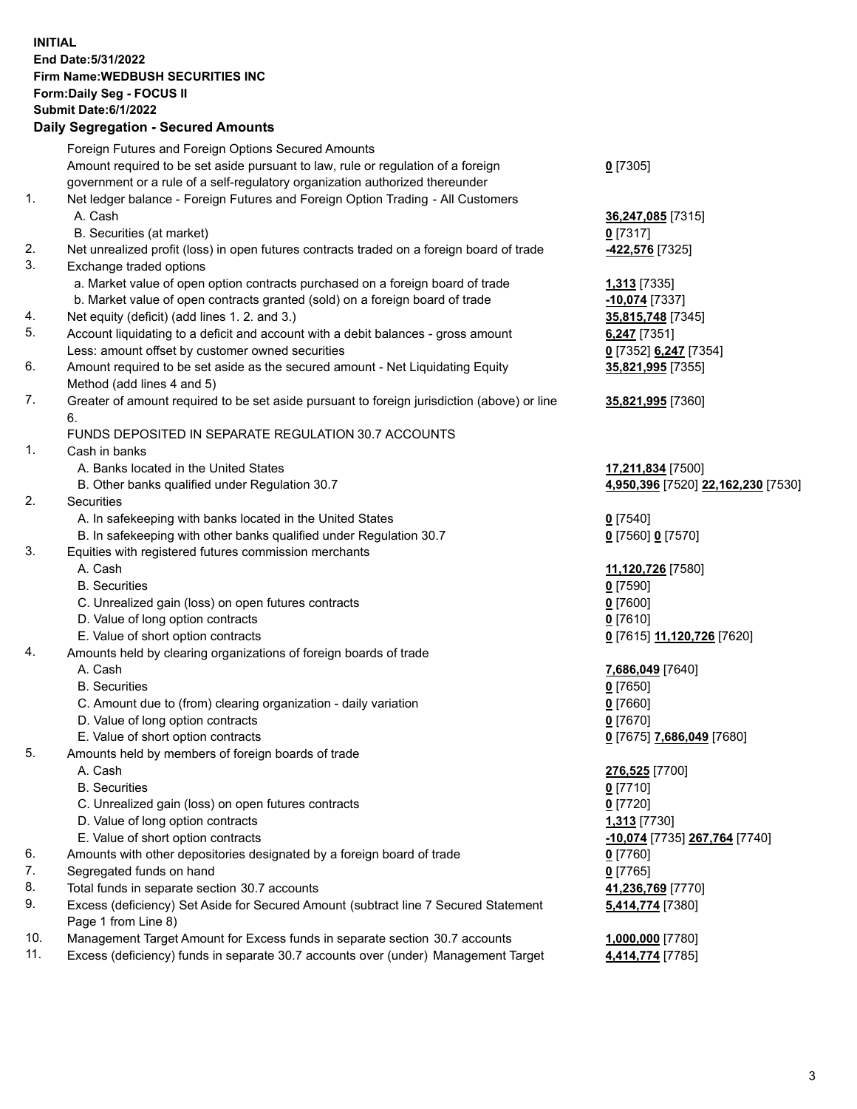**INITIAL End Date:5/31/2022 Firm Name:WEDBUSH SECURITIES INC Form:Daily Seg - FOCUS II Submit Date:6/1/2022 Daily Segregation - Secured Amounts**

|     | Foreign Futures and Foreign Options Secured Amounts                                                        |                                             |
|-----|------------------------------------------------------------------------------------------------------------|---------------------------------------------|
|     | Amount required to be set aside pursuant to law, rule or regulation of a foreign                           | $0$ [7305]                                  |
|     | government or a rule of a self-regulatory organization authorized thereunder                               |                                             |
| 1.  | Net ledger balance - Foreign Futures and Foreign Option Trading - All Customers                            |                                             |
|     | A. Cash                                                                                                    | 36,247,085 [7315]                           |
|     | B. Securities (at market)                                                                                  | $0$ [7317]                                  |
| 2.  | Net unrealized profit (loss) in open futures contracts traded on a foreign board of trade                  | -422,576 [7325]                             |
| 3.  | Exchange traded options                                                                                    |                                             |
|     | a. Market value of open option contracts purchased on a foreign board of trade                             | 1,313 [7335]                                |
|     | b. Market value of open contracts granted (sold) on a foreign board of trade                               | -10,074 [7337]                              |
| 4.  | Net equity (deficit) (add lines 1. 2. and 3.)                                                              | 35,815,748 [7345]                           |
| 5.  | Account liquidating to a deficit and account with a debit balances - gross amount                          | $6,247$ [7351]                              |
|     | Less: amount offset by customer owned securities                                                           | 0 <sup>[7352]</sup> 6,247 <sup>[7354]</sup> |
| 6.  | Amount required to be set aside as the secured amount - Net Liquidating Equity                             | 35,821,995 [7355]                           |
|     | Method (add lines 4 and 5)                                                                                 |                                             |
| 7.  | Greater of amount required to be set aside pursuant to foreign jurisdiction (above) or line                | 35,821,995 [7360]                           |
|     | 6.                                                                                                         |                                             |
|     | FUNDS DEPOSITED IN SEPARATE REGULATION 30.7 ACCOUNTS                                                       |                                             |
| 1.  | Cash in banks                                                                                              |                                             |
|     | A. Banks located in the United States                                                                      | 17,211,834 [7500]                           |
|     | B. Other banks qualified under Regulation 30.7                                                             | 4,950,396 [7520] 22,162,230 [7530]          |
| 2.  | Securities                                                                                                 |                                             |
|     | A. In safekeeping with banks located in the United States                                                  | $0$ [7540]                                  |
|     | B. In safekeeping with other banks qualified under Regulation 30.7                                         | 0 [7560] 0 [7570]                           |
| 3.  | Equities with registered futures commission merchants                                                      |                                             |
|     | A. Cash                                                                                                    | 11,120,726 [7580]                           |
|     | <b>B.</b> Securities                                                                                       | $0$ [7590]                                  |
|     | C. Unrealized gain (loss) on open futures contracts                                                        | $0$ [7600]                                  |
|     | D. Value of long option contracts                                                                          | $0$ [7610]                                  |
|     | E. Value of short option contracts                                                                         | 0 [7615] 11,120,726 [7620]                  |
| 4.  | Amounts held by clearing organizations of foreign boards of trade                                          |                                             |
|     | A. Cash                                                                                                    | 7,686,049 [7640]                            |
|     | <b>B.</b> Securities                                                                                       | $0$ [7650]                                  |
|     | C. Amount due to (from) clearing organization - daily variation                                            | $0$ [7660]                                  |
|     | D. Value of long option contracts                                                                          | $0$ [7670]                                  |
|     | E. Value of short option contracts                                                                         | 0 [7675] 7,686,049 [7680]                   |
| 5.  | Amounts held by members of foreign boards of trade                                                         |                                             |
|     | A. Cash                                                                                                    | 276,525 [7700]                              |
|     | <b>B.</b> Securities                                                                                       | $0$ [7710]                                  |
|     | C. Unrealized gain (loss) on open futures contracts                                                        | $0$ [7720]                                  |
|     | D. Value of long option contracts                                                                          | 1,313 [7730]                                |
|     | E. Value of short option contracts                                                                         | -10,074 [7735] 267,764 [7740]               |
| 6.  | Amounts with other depositories designated by a foreign board of trade                                     | $0$ [7760]                                  |
| 7.  | Segregated funds on hand                                                                                   | $0$ [7765]                                  |
| 8.  | Total funds in separate section 30.7 accounts                                                              | 41,236,769 [7770]                           |
| 9.  | Excess (deficiency) Set Aside for Secured Amount (subtract line 7 Secured Statement<br>Page 1 from Line 8) | 5,414,774 [7380]                            |
| 10. | Management Target Amount for Excess funds in separate section 30.7 accounts                                | 1,000,000 [7780]                            |
| 11. | Excess (deficiency) funds in separate 30.7 accounts over (under) Management Target                         | 4,414,774 [7785]                            |
|     |                                                                                                            |                                             |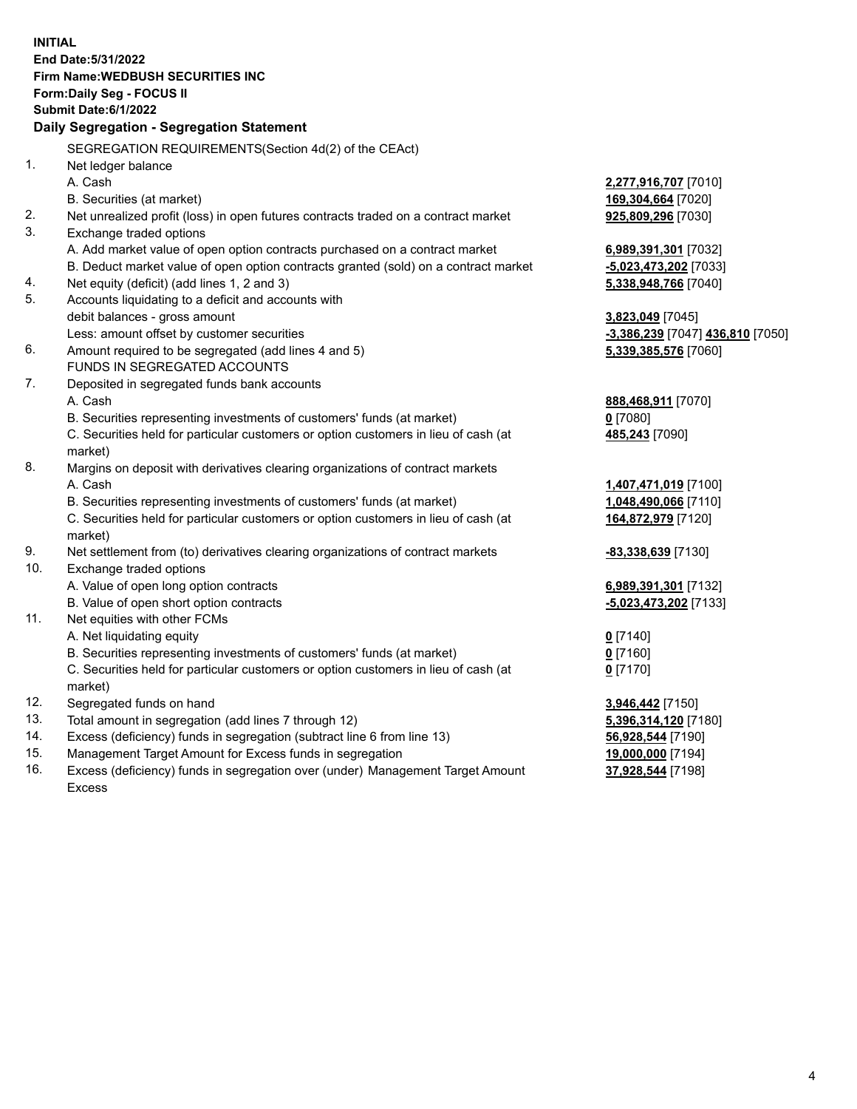|                | <b>INITIAL</b>                                                                      |                                  |
|----------------|-------------------------------------------------------------------------------------|----------------------------------|
|                | End Date: 5/31/2022                                                                 |                                  |
|                | <b>Firm Name: WEDBUSH SECURITIES INC</b>                                            |                                  |
|                | <b>Form:Daily Seg - FOCUS II</b>                                                    |                                  |
|                | <b>Submit Date:6/1/2022</b>                                                         |                                  |
|                | Daily Segregation - Segregation Statement                                           |                                  |
|                | SEGREGATION REQUIREMENTS(Section 4d(2) of the CEAct)                                |                                  |
| $\mathbf{1}$ . | Net ledger balance                                                                  |                                  |
|                | A. Cash                                                                             | 2,277,916,707 [7010]             |
|                | B. Securities (at market)                                                           | 169,304,664 [7020]               |
| 2.             | Net unrealized profit (loss) in open futures contracts traded on a contract market  | 925,809,296 [7030]               |
| 3.             | Exchange traded options                                                             |                                  |
|                | A. Add market value of open option contracts purchased on a contract market         | 6,989,391,301 [7032]             |
|                | B. Deduct market value of open option contracts granted (sold) on a contract market | -5,023,473,202 [7033]            |
| 4.             | Net equity (deficit) (add lines 1, 2 and 3)                                         | 5,338,948,766 [7040]             |
| 5.             | Accounts liquidating to a deficit and accounts with                                 |                                  |
|                | debit balances - gross amount                                                       | 3,823,049 [7045]                 |
|                | Less: amount offset by customer securities                                          | -3,386,239 [7047] 436,810 [7050] |
| 6.             | Amount required to be segregated (add lines 4 and 5)                                | 5,339,385,576 [7060]             |
|                | FUNDS IN SEGREGATED ACCOUNTS                                                        |                                  |
| 7.             | Deposited in segregated funds bank accounts                                         |                                  |
|                | A. Cash                                                                             | 888,468,911 [7070]               |
|                | B. Securities representing investments of customers' funds (at market)              | 0 [7080]                         |
|                | C. Securities held for particular customers or option customers in lieu of cash (at | 485,243 [7090]                   |
|                | market)                                                                             |                                  |
| 8.             | Margins on deposit with derivatives clearing organizations of contract markets      |                                  |
|                | A. Cash                                                                             | 1,407,471,019 [7100]             |
|                | B. Securities representing investments of customers' funds (at market)              | 1,048,490,066 [7110]             |
|                | C. Securities held for particular customers or option customers in lieu of cash (at | 164,872,979 [7120]               |
|                | market)                                                                             |                                  |
| 9.             | Net settlement from (to) derivatives clearing organizations of contract markets     | -83,338,639 [7130]               |
| 10.            | Exchange traded options                                                             |                                  |
|                | A. Value of open long option contracts                                              | 6,989,391,301 [7132]             |
|                | B. Value of open short option contracts                                             | -5,023,473,202 [7133]            |
| 11.            | Net equities with other FCMs                                                        |                                  |
|                | A. Net liquidating equity                                                           | $0$ [7140]                       |
|                | B. Securities representing investments of customers' funds (at market)              | $0$ [7160]                       |
|                | C. Securities held for particular customers or option customers in lieu of cash (at | $0$ [7170]                       |
|                | market)                                                                             |                                  |
| 12.            | Segregated funds on hand                                                            | 3,946,442 [7150]                 |
| 13.            | Total amount in segregation (add lines 7 through 12)                                | 5,396,314,120 [7180]             |
| 14.            | Excess (deficiency) funds in segregation (subtract line 6 from line 13)             | 56,928,544 [7190]                |
| 15.            | Management Target Amount for Excess funds in segregation                            | 19,000,000 [7194]                |
| 16.            | Excess (deficiency) funds in segregation over (under) Management Target Amount      | 37,928,544 [7198]                |

Excess